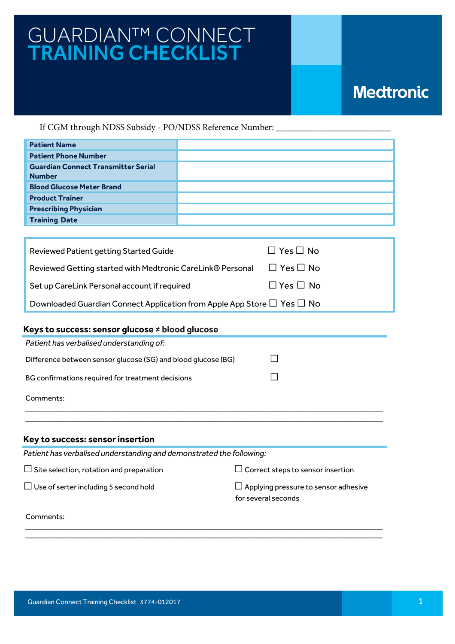## GUARDIAN™ CONNECT TRAINING CHECKLIST

## **Medtronic**

If CGM through NDSS Subsidy - PO/NDSS Reference Number:

| <b>Patient Name</b>                                         |  |
|-------------------------------------------------------------|--|
| <b>Patient Phone Number</b>                                 |  |
| <b>Guardian Connect Transmitter Serial</b><br><b>Number</b> |  |
| <b>Blood Glucose Meter Brand</b>                            |  |
| <b>Product Trainer</b>                                      |  |
| <b>Prescribing Physician</b>                                |  |
| <b>Training Date</b>                                        |  |

| Reviewed Patient getting Started Guide                                            | $\Box$ Yes $\Box$ No |
|-----------------------------------------------------------------------------------|----------------------|
| Reviewed Getting started with Medtronic CareLink® Personal                        | $\Box$ Yes $\Box$ No |
| Set up CareLink Personal account if required                                      | $\Box$ Yes $\Box$ No |
| Downloaded Guardian Connect Application from Apple App Store $\Box$ Yes $\Box$ No |                      |

## **Keys to success: sensor glucose ≠ blood glucose**

| Patient has verbalised understanding of:                      |  |
|---------------------------------------------------------------|--|
| Difference between sensor glucose (SG) and blood glucose (BG) |  |
| BG confirmations required for treatment decisions             |  |
| Comments:                                                     |  |

## **Key to success: sensor insertion**

| Patient has verbalised understanding and demonstrated the following: |                                                                    |
|----------------------------------------------------------------------|--------------------------------------------------------------------|
| $\Box$ Site selection, rotation and preparation                      | $\Box$ Correct steps to sensor insertion                           |
| $\Box$ Use of serter including 5 second hold                         | $\Box$ Applying pressure to sensor adhesive<br>for several seconds |
| Comments:                                                            |                                                                    |

\_\_\_\_\_\_\_\_\_\_\_\_\_\_\_\_\_\_\_\_\_\_\_\_\_\_\_\_\_\_\_\_\_\_\_\_\_\_\_\_\_\_\_\_\_\_\_\_\_\_\_\_\_\_\_\_\_\_\_\_\_\_\_\_\_\_\_\_\_\_\_\_\_\_\_\_\_\_\_\_\_\_\_\_

\_\_\_\_\_\_\_\_\_\_\_\_\_\_\_\_\_\_\_\_\_\_\_\_\_\_\_\_\_\_\_\_\_\_\_\_\_\_\_\_\_\_\_\_\_\_\_\_\_\_\_\_\_\_\_\_\_\_\_\_\_\_\_\_\_\_\_\_\_\_\_\_\_\_\_\_\_\_\_\_\_\_\_\_\_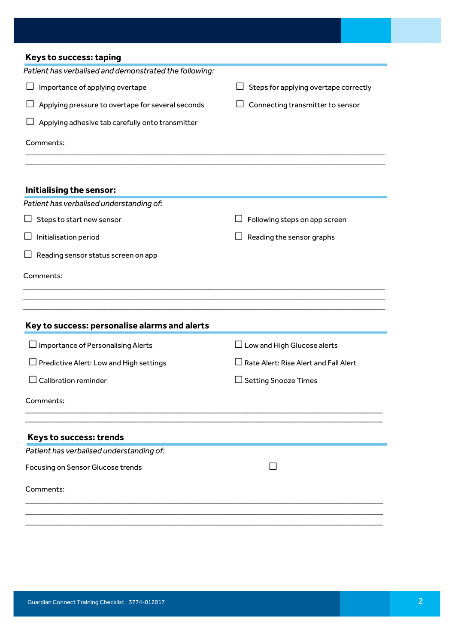| <b>Keys to success: taping</b>                         |                                       |
|--------------------------------------------------------|---------------------------------------|
| Patient has verbalised and demonstrated the following: |                                       |
| Importance of applying overtape                        | Steps for applying overtape correctly |
| Applying pressure to overtape for several seconds      | Connecting transmitter to sensor      |
| Applying adhesive tab carefully onto transmitter       |                                       |
| Comments:                                              |                                       |
| Initialising the sensor:                               |                                       |
| Patient has verbalised understanding of:               |                                       |
| Steps to start new sensor                              | Following steps on app screen         |
| Initialisation period                                  | Reading the sensor graphs             |
| Reading sensor status screen on app                    |                                       |
| Comments:                                              |                                       |
|                                                        |                                       |
| Key to success: personalise alarms and alerts          |                                       |
| $\Box$ Importance of Personalising Alerts              | $\Box$ Low and High Glucose alerts    |
| Predictive Alert: Low and High settings                | Rate Alert: Rise Alert and Fall Alert |
| $\Box$ Calibration reminder                            | $\Box$ Setting Snooze Times           |
| Comments:                                              |                                       |
| Keys to success: trends                                |                                       |
| Patient has verbalised understanding of:               |                                       |
| Focusing on Sensor Glucose trends                      |                                       |
| Comments:                                              |                                       |
|                                                        |                                       |
|                                                        |                                       |